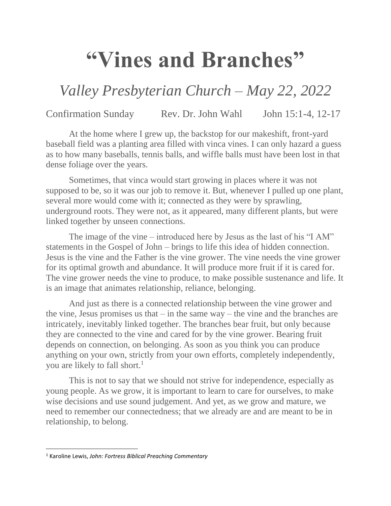## **"Vines and Branches"**

## *Valley Presbyterian Church – May 22, 2022*

## Confirmation Sunday Rev. Dr. John Wahl John 15:1-4, 12-17

At the home where I grew up, the backstop for our makeshift, front-yard baseball field was a planting area filled with vinca vines. I can only hazard a guess as to how many baseballs, tennis balls, and wiffle balls must have been lost in that dense foliage over the years.

Sometimes, that vinca would start growing in places where it was not supposed to be, so it was our job to remove it. But, whenever I pulled up one plant, several more would come with it; connected as they were by sprawling, underground roots. They were not, as it appeared, many different plants, but were linked together by unseen connections.

The image of the vine – introduced here by Jesus as the last of his "I AM" statements in the Gospel of John – brings to life this idea of hidden connection. Jesus is the vine and the Father is the vine grower. The vine needs the vine grower for its optimal growth and abundance. It will produce more fruit if it is cared for. The vine grower needs the vine to produce, to make possible sustenance and life. It is an image that animates relationship, reliance, belonging.

And just as there is a connected relationship between the vine grower and the vine, Jesus promises us that  $-\text{in}$  the same way  $-\text{the}$  vine and the branches are intricately, inevitably linked together. The branches bear fruit, but only because they are connected to the vine and cared for by the vine grower. Bearing fruit depends on connection, on belonging. As soon as you think you can produce anything on your own, strictly from your own efforts, completely independently, you are likely to fall short.<sup>1</sup>

This is not to say that we should not strive for independence, especially as young people. As we grow, it is important to learn to care for ourselves, to make wise decisions and use sound judgement. And yet, as we grow and mature, we need to remember our connectedness; that we already are and are meant to be in relationship, to belong.

 $\overline{\phantom{a}}$ 

<sup>1</sup> Karoline Lewis, *John: Fortress Biblical Preaching Commentary*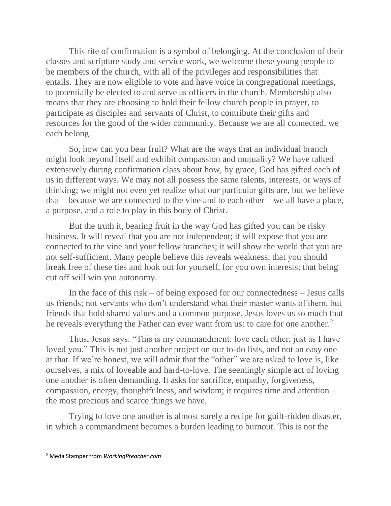This rite of confirmation is a symbol of belonging. At the conclusion of their classes and scripture study and service work, we welcome these young people to be members of the church, with all of the privileges and responsibilities that entails. They are now eligible to vote and have voice in congregational meetings, to potentially be elected to and serve as officers in the church. Membership also means that they are choosing to hold their fellow church people in prayer, to participate as disciples and servants of Christ, to contribute their gifts and resources for the good of the wider community. Because we are all connected, we each belong.

So, how can you bear fruit? What are the ways that an individual branch might look beyond itself and exhibit compassion and mutuality? We have talked extensively during confirmation class about how, by grace, God has gifted each of us in different ways. We may not all possess the same talents, interests, or ways of thinking; we might not even yet realize what our particular gifts are, but we believe that – because we are connected to the vine and to each other – we all have a place, a purpose, and a role to play in this body of Christ.

But the truth it, bearing fruit in the way God has gifted you can be risky business. It will reveal that you are not independent; it will expose that you are connected to the vine and your fellow branches; it will show the world that you are not self-sufficient. Many people believe this reveals weakness, that you should break free of these ties and look out for yourself, for you own interests; that being cut off will win you autonomy.

In the face of this risk – of being exposed for our connectedness – Jesus calls us friends; not servants who don't understand what their master wants of them, but friends that hold shared values and a common purpose. Jesus loves us so much that he reveals everything the Father can ever want from us: to care for one another.<sup>2</sup>

Thus, Jesus says: "This is my commandment: love each other, just as I have loved you." This is not just another project on our to-do lists, and not an easy one at that. If we're honest, we will admit that the "other" we are asked to love is, like ourselves, a mix of loveable and hard-to-love. The seemingly simple act of loving one another is often demanding. It asks for sacrifice, empathy, forgiveness, compassion, energy, thoughtfulness, and wisdom; it requires time and attention – the most precious and scarce things we have.

Trying to love one another is almost surely a recipe for guilt-ridden disaster, in which a commandment becomes a burden leading to burnout. This is not the

 $\overline{\phantom{a}}$ 

<sup>2</sup> Meda Stamper from *WorkingPreacher.com*